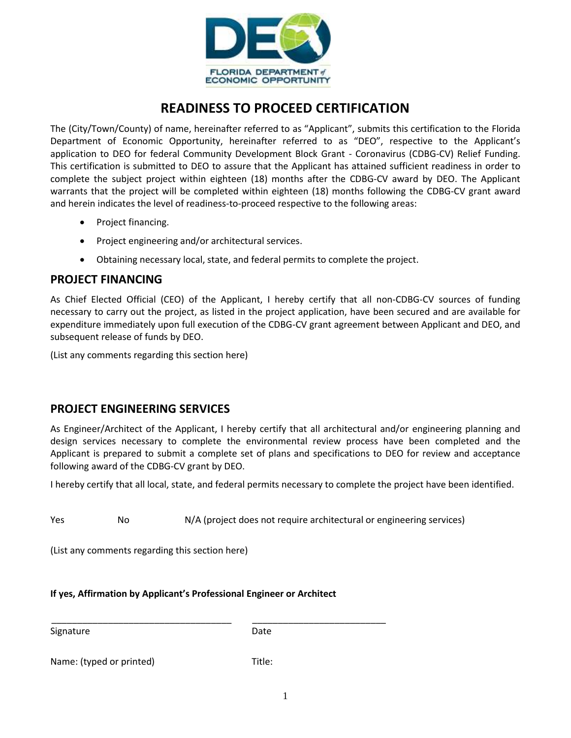

## **READINESS TO PROCEED CERTIFICATION**

The (City/Town/County) of name, hereinafter referred to as "Applicant", submits this certification to the Florida Department of Economic Opportunity, hereinafter referred to as "DEO", respective to the Applicant's application to DEO for federal Community Development Block Grant - Coronavirus (CDBG-CV) Relief Funding. This certification is submitted to DEO to assure that the Applicant has attained sufficient readiness in order to complete the subject project within eighteen (18) months after the CDBG-CV award by DEO. The Applicant warrants that the project will be completed within eighteen (18) months following the CDBG-CV grant award and herein indicates the level of readiness-to-proceed respective to the following areas:

- Project financing.
- Project engineering and/or architectural services.
- Obtaining necessary local, state, and federal permits to complete the project.

## **PROJECT FINANCING**

As Chief Elected Official (CEO) of the Applicant, I hereby certify that all non-CDBG-CV sources of funding necessary to carry out the project, as listed in the project application, have been secured and are available for expenditure immediately upon full execution of the CDBG-CV grant agreement between Applicant and DEO, and subsequent release of funds by DEO.

(List any comments regarding this section here)

## **PROJECT ENGINEERING SERVICES**

As Engineer/Architect of the Applicant, I hereby certify that all architectural and/or engineering planning and design services necessary to complete the environmental review process have been completed and the Applicant is prepared to submit a complete set of plans and specifications to DEO for review and acceptance following award of the CDBG-CV grant by DEO.

I hereby certify that all local, state, and federal permits necessary to complete the project have been identified.

Yes No N/A (project does not require architectural or engineering services)

(List any comments regarding this section here)

**If yes, Affirmation by Applicant's Professional Engineer or Architect**

\_\_\_\_\_\_\_\_\_\_\_\_\_\_\_\_\_\_\_\_\_\_\_\_\_\_\_\_\_\_\_\_\_\_\_ \_\_\_\_\_\_\_\_\_\_\_\_\_\_\_\_\_\_\_\_\_\_\_\_\_\_

Signature Date

Name: (typed or printed) Title: